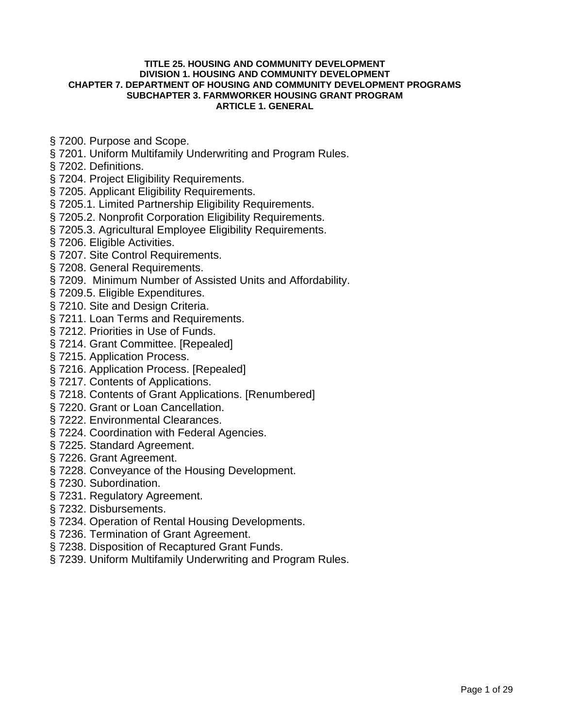### **TITLE 25. HOUSING AND COMMUNITY DEVELOPMENT DIVISION 1. HOUSING AND COMMUNITY DEVELOPMENT CHAPTER 7. DEPARTMENT OF HOUSING AND COMMUNITY DEVELOPMENT PROGRAMS SUBCHAPTER 3. FARMWORKER HOUSING GRANT PROGRAM ARTICLE 1. GENERAL**

- [§ 7200. Purpose and Scope.](#page-1-0)
- [§ 7201. Uniform Multifamily Underwriting and Program Rules.](#page-1-0)
- [§ 7202. Definitions.](#page-2-0)
- § 7204. Project Eligibility Requirements.
- § 7205. Applicant Eligibility Requirements.
- [§ 7205.1. Limited Partnership Eligibility Requirements.](#page-7-0)
- [§ 7205.2. Nonprofit Corporation Eligibility Requirements.](#page-8-0)
- [§ 7205.3. Agricultural Employee Eligibility Requirements.](#page-8-0)
- § 7206. Eligible Activities.
- [§ 7207. Site Control Requirements.](#page-9-0)
- § 7208. General Requirements.
- [§ 7209. Minimum Number of Assisted Units and Affordability.](#page-10-0)
- § 7209.5. Eligible Expenditures.
- § 7210. Site and Design Criteria.
- § 7211. Loan Terms and Requirements.
- [§ 7212. Priorities in Use of Funds.](#page-14-0)
- § 7214. Grant Committee. [Repealed]
- [§ 7215. Application Process.](#page-16-0)
- [§ 7216. Application Process. \[Repealed\]](#page-16-0)
- § 7217. Contents of Applications.
- [§ 7218. Contents of Grant Applications. \[Renumbered\]](#page-19-0)
- § 7220. Grant or Loan Cancellation.
- [§ 7222. Environmental Clearances.](#page-20-0)
- § 7224. Coordination with Federal Agencies.
- [§ 7225. Standard Agreement.](#page-21-0)
- [§ 7226. Grant Agreement.](#page-21-0)
- § 7228. Conveyance of the Housing Development.
- [§ 7230. Subordination.](#page-25-0)
- [§ 7231. Regulatory Agreement.](#page-25-0)
- [§ 7232. Disbursements.](#page-26-0)
- [§ 7234. Operation of Rental Housing Developments.](#page-26-0)
- [§ 7236. Termination of Grant Agreement.](#page-27-0)
- [§ 7238. Disposition of Recaptured Grant Funds.](#page-28-0)
- [§ 7239. Uniform Multifamily Underwriting and Program Rules.](#page-28-0)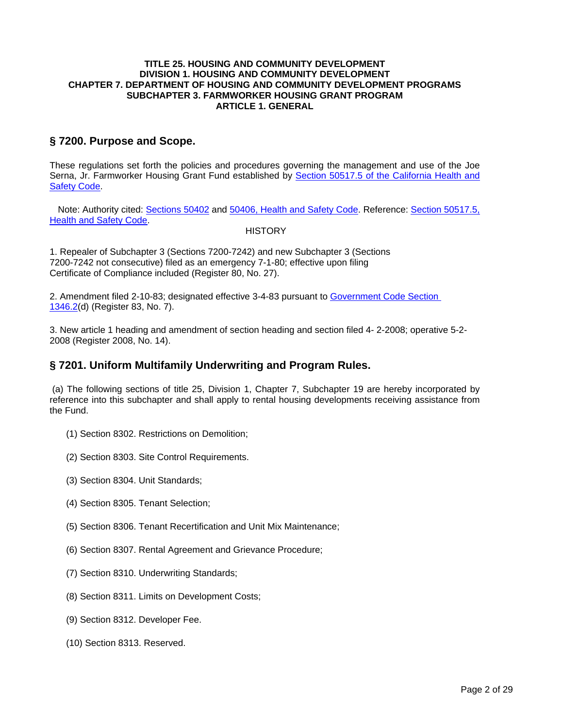### <span id="page-1-0"></span>**TITLE 25. HOUSING AND COMMUNITY DEVELOPMENT DIVISION 1. HOUSING AND COMMUNITY DEVELOPMENT CHAPTER 7. DEPARTMENT OF HOUSING AND COMMUNITY DEVELOPMENT PROGRAMS SUBCHAPTER 3. FARMWORKER HOUSING GRANT PROGRAM ARTICLE 1. GENERAL**

## **§ 7200. Purpose and Scope.**

These regulations set forth the policies and procedures governing the management and use of the Joe Serna, Jr. Farmworker Housing Grant Fund established by Section 50517.5 of the California Health and Safety Code.

Note: Authority cited: Sections 50402 and 50406, Health and Safety Code. Reference: Section 50517.5, Health and Safety Code.

### **HISTORY**

1. Repealer of Subchapter 3 (Sections 7200-7242) and new Subchapter 3 (Sections 7200-7242 not consecutive) filed as an emergency 7-1-80; effective upon filing Certificate of Compliance included (Register 80, No. 27).

2. Amendment filed 2-10-83; designated effective 3-4-83 pursuant to Government Code Section 1346.2(d) (Register 83, No. 7).

3. New article 1 heading and amendment of section heading and section filed 4- 2-2008; operative 5-2- 2008 (Register 2008, No. 14).

### **§ 7201. Uniform Multifamily Underwriting and Program Rules.**

(a) The following sections of title 25, Division 1, Chapter 7, Subchapter 19 are hereby incorporated by reference into this subchapter and shall apply to rental housing developments receiving assistance from the Fund.

- (1) Section 8302. Restrictions on Demolition;
- (2) Section 8303. Site Control Requirements.
- (3) Section 8304. Unit Standards;
- (4) Section 8305. Tenant Selection;
- (5) Section 8306. Tenant Recertification and Unit Mix Maintenance;
- (6) Section 8307. Rental Agreement and Grievance Procedure;
- (7) Section 8310. Underwriting Standards;
- (8) Section 8311. Limits on Development Costs;
- (9) Section 8312. Developer Fee.
- (10) Section 8313. Reserved.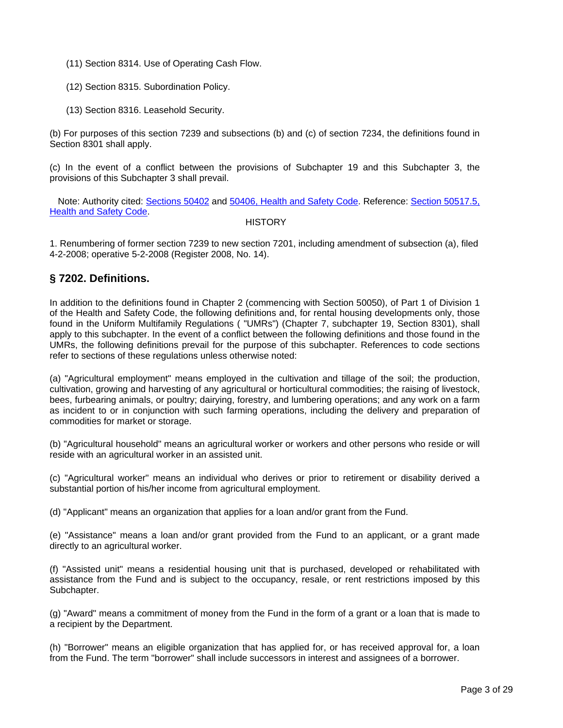- <span id="page-2-0"></span>(11) Section 8314. Use of Operating Cash Flow.
- (12) Section 8315. Subordination Policy.
- (13) Section 8316. Leasehold Security.

(b) For purposes of this section 7239 and subsections (b) and (c) of section 7234, the definitions found in Section 8301 shall apply.

(c) In the event of a conflict between the provisions of Subchapter 19 and this Subchapter 3, the provisions of this Subchapter 3 shall prevail.

Note: Authority cited: Sections 50402 and 50406, Health and Safety Code. Reference: Section 50517.5, Health and Safety Code.

#### **HISTORY**

1. Renumbering of former section 7239 to new section 7201, including amendment of subsection (a), filed 4-2-2008; operative 5-2-2008 (Register 2008, No. 14).

# **§ 7202. Definitions.**

In addition to the definitions found in Chapter 2 (commencing with Section 50050), of Part 1 of Division 1 of the Health and Safety Code, the following definitions and, for rental housing developments only, those found in the Uniform Multifamily Regulations ( "UMRs") (Chapter 7, subchapter 19, Section 8301), shall apply to this subchapter. In the event of a conflict between the following definitions and those found in the UMRs, the following definitions prevail for the purpose of this subchapter. References to code sections refer to sections of these regulations unless otherwise noted:

(a) "Agricultural employment" means employed in the cultivation and tillage of the soil; the production, cultivation, growing and harvesting of any agricultural or horticultural commodities; the raising of livestock, bees, furbearing animals, or poultry; dairying, forestry, and lumbering operations; and any work on a farm as incident to or in conjunction with such farming operations, including the delivery and preparation of commodities for market or storage.

(b) "Agricultural household" means an agricultural worker or workers and other persons who reside or will reside with an agricultural worker in an assisted unit.

(c) "Agricultural worker" means an individual who derives or prior to retirement or disability derived a substantial portion of his/her income from agricultural employment.

(d) "Applicant" means an organization that applies for a loan and/or grant from the Fund.

(e) "Assistance" means a loan and/or grant provided from the Fund to an applicant, or a grant made directly to an agricultural worker.

(f) "Assisted unit" means a residential housing unit that is purchased, developed or rehabilitated with assistance from the Fund and is subject to the occupancy, resale, or rent restrictions imposed by this Subchapter.

(g) "Award" means a commitment of money from the Fund in the form of a grant or a loan that is made to a recipient by the Department.

(h) "Borrower" means an eligible organization that has applied for, or has received approval for, a loan from the Fund. The term "borrower" shall include successors in interest and assignees of a borrower.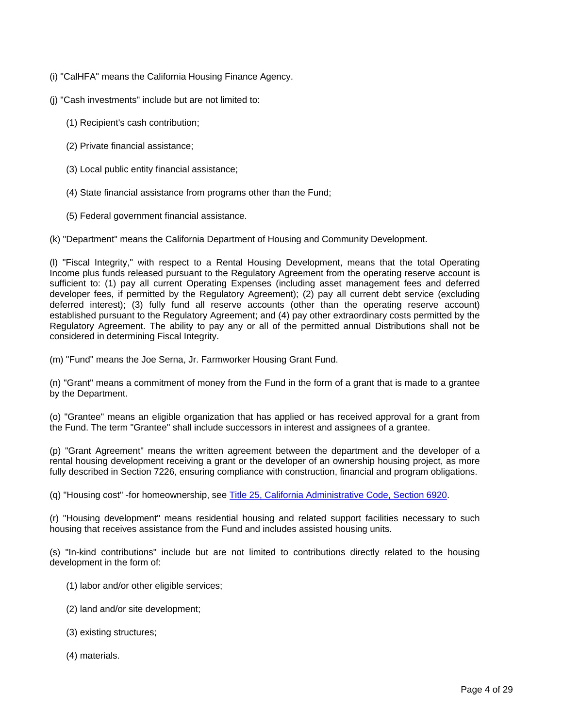- (i) "CalHFA" means the California Housing Finance Agency.
- (j) "Cash investments" include but are not limited to:
	- (1) Recipient's cash contribution;
	- (2) Private financial assistance;
	- (3) Local public entity financial assistance;
	- (4) State financial assistance from programs other than the Fund;
	- (5) Federal government financial assistance.

(k) "Department" means the California Department of Housing and Community Development.

(l) "Fiscal Integrity," with respect to a Rental Housing Development, means that the total Operating Income plus funds released pursuant to the Regulatory Agreement from the operating reserve account is sufficient to: (1) pay all current Operating Expenses (including asset management fees and deferred developer fees, if permitted by the Regulatory Agreement); (2) pay all current debt service (excluding deferred interest); (3) fully fund all reserve accounts (other than the operating reserve account) established pursuant to the Regulatory Agreement; and (4) pay other extraordinary costs permitted by the Regulatory Agreement. The ability to pay any or all of the permitted annual Distributions shall not be considered in determining Fiscal Integrity.

(m) "Fund" means the Joe Serna, Jr. Farmworker Housing Grant Fund.

(n) "Grant" means a commitment of money from the Fund in the form of a grant that is made to a grantee by the Department.

(o) "Grantee" means an eligible organization that has applied or has received approval for a grant from the Fund. The term "Grantee" shall include successors in interest and assignees of a grantee.

(p) "Grant Agreement" means the written agreement between the department and the developer of a rental housing development receiving a grant or the developer of an ownership housing project, as more fully described in Section 7226, ensuring compliance with construction, financial and program obligations.

(q) "Housing cost" -for homeownership, see Title 25, California Administrative Code, Section 6920.

(r) "Housing development" means residential housing and related support facilities necessary to such housing that receives assistance from the Fund and includes assisted housing units.

(s) "In-kind contributions" include but are not limited to contributions directly related to the housing development in the form of:

- (1) labor and/or other eligible services;
- (2) land and/or site development;
- (3) existing structures;
- (4) materials.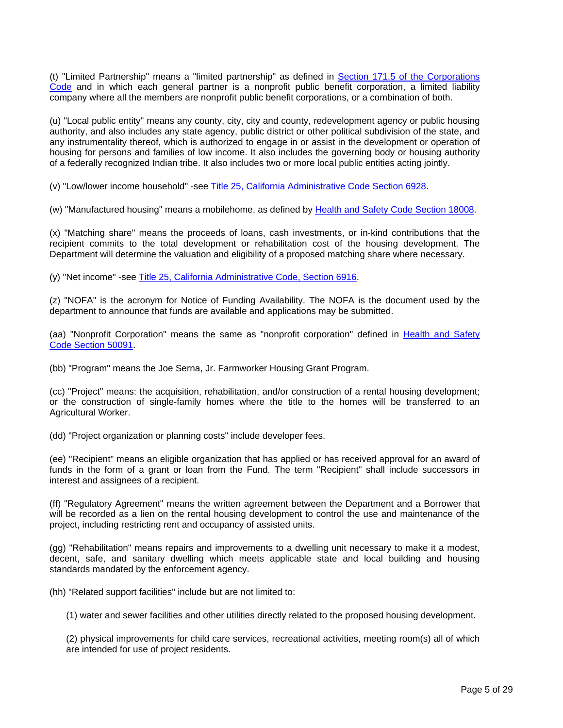(t) "Limited Partnership" means a "limited partnership" as defined in Section 171.5 of the Corporations Code and in which each general partner is a nonprofit public benefit corporation, a limited liability company where all the members are nonprofit public benefit corporations, or a combination of both.

(u) "Local public entity" means any county, city, city and county, redevelopment agency or public housing authority, and also includes any state agency, public district or other political subdivision of the state, and any instrumentality thereof, which is authorized to engage in or assist in the development or operation of housing for persons and families of low income. It also includes the governing body or housing authority of a federally recognized Indian tribe. It also includes two or more local public entities acting jointly.

(v) "Low/lower income household" -see Title 25, California Administrative Code Section 6928.

(w) "Manufactured housing" means a mobilehome, as defined by Health and Safety Code Section 18008.

(x) "Matching share" means the proceeds of loans, cash investments, or in-kind contributions that the recipient commits to the total development or rehabilitation cost of the housing development. The Department will determine the valuation and eligibility of a proposed matching share where necessary.

(y) "Net income" -see Title 25, California Administrative Code, Section 6916.

(z) "NOFA" is the acronym for Notice of Funding Availability. The NOFA is the document used by the department to announce that funds are available and applications may be submitted.

(aa) "Nonprofit Corporation" means the same as "nonprofit corporation" defined in Health and Safety Code Section 50091.

(bb) "Program" means the Joe Serna, Jr. Farmworker Housing Grant Program.

(cc) "Project" means: the acquisition, rehabilitation, and/or construction of a rental housing development; or the construction of single-family homes where the title to the homes will be transferred to an Agricultural Worker.

(dd) "Project organization or planning costs" include developer fees.

(ee) "Recipient" means an eligible organization that has applied or has received approval for an award of funds in the form of a grant or loan from the Fund. The term "Recipient" shall include successors in interest and assignees of a recipient.

(ff) "Regulatory Agreement" means the written agreement between the Department and a Borrower that will be recorded as a lien on the rental housing development to control the use and maintenance of the project, including restricting rent and occupancy of assisted units.

(gg) "Rehabilitation" means repairs and improvements to a dwelling unit necessary to make it a modest, decent, safe, and sanitary dwelling which meets applicable state and local building and housing standards mandated by the enforcement agency.

(hh) "Related support facilities" include but are not limited to:

(1) water and sewer facilities and other utilities directly related to the proposed housing development.

(2) physical improvements for child care services, recreational activities, meeting room(s) all of which are intended for use of project residents.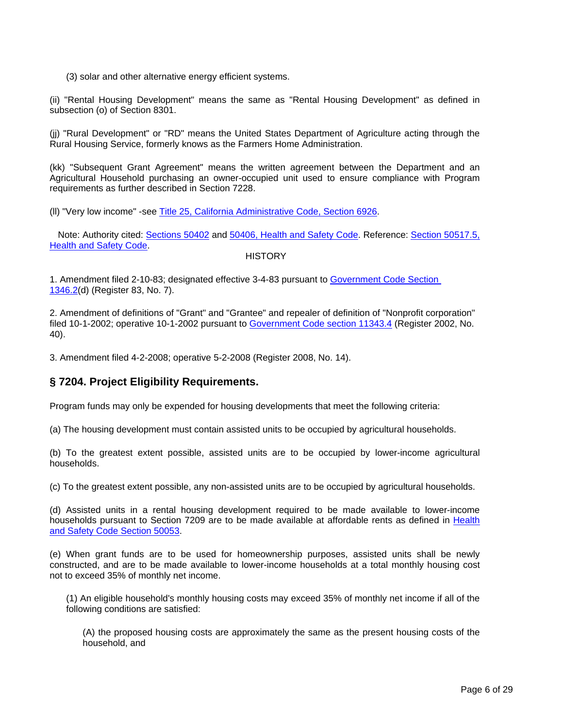<span id="page-5-0"></span>(3) solar and other alternative energy efficient systems.

(ii) "Rental Housing Development" means the same as "Rental Housing Development" as defined in subsection (o) of Section 8301.

(jj) "Rural Development" or "RD" means the United States Department of Agriculture acting through the Rural Housing Service, formerly knows as the Farmers Home Administration.

(kk) "Subsequent Grant Agreement" means the written agreement between the Department and an Agricultural Household purchasing an owner-occupied unit used to ensure compliance with Program requirements as further described in Section 7228.

(ll) "Very low income" -see Title 25, California Administrative Code, Section 6926.

Note: Authority cited: Sections 50402 and 50406, Health and Safety Code. Reference: Section 50517.5, Health and Safety Code.

**HISTORY** 

1. Amendment filed 2-10-83; designated effective 3-4-83 pursuant to Government Code Section 1346.2(d) (Register 83, No. 7).

2. Amendment of definitions of "Grant" and "Grantee" and repealer of definition of "Nonprofit corporation" filed 10-1-2002; operative 10-1-2002 pursuant to Government Code section 11343.4 (Register 2002, No. 40).

3. Amendment filed 4-2-2008; operative 5-2-2008 (Register 2008, No. 14).

# **§ 7204. Project Eligibility Requirements.**

Program funds may only be expended for housing developments that meet the following criteria:

(a) The housing development must contain assisted units to be occupied by agricultural households.

(b) To the greatest extent possible, assisted units are to be occupied by lower-income agricultural households.

(c) To the greatest extent possible, any non-assisted units are to be occupied by agricultural households.

(d) Assisted units in a rental housing development required to be made available to lower-income households pursuant to Section 7209 are to be made available at affordable rents as defined in Health and Safety Code Section 50053.

(e) When grant funds are to be used for homeownership purposes, assisted units shall be newly constructed, and are to be made available to lower-income households at a total monthly housing cost not to exceed 35% of monthly net income.

(1) An eligible household's monthly housing costs may exceed 35% of monthly net income if all of the following conditions are satisfied:

(A) the proposed housing costs are approximately the same as the present housing costs of the household, and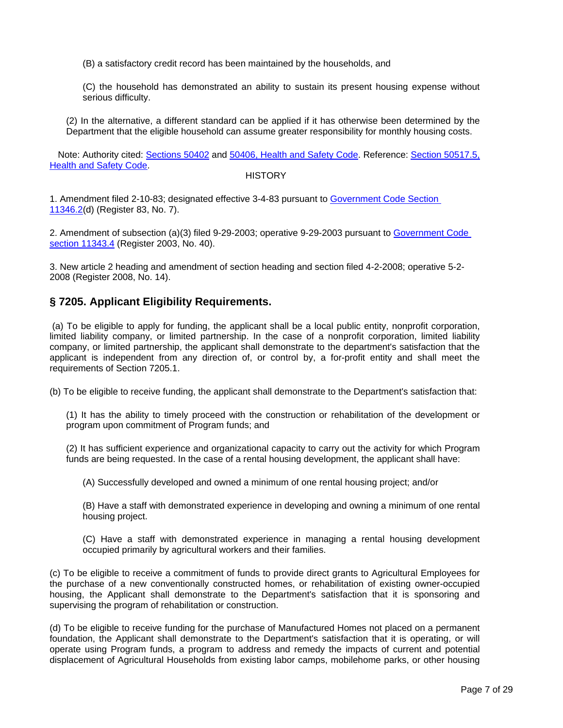<span id="page-6-0"></span>(B) a satisfactory credit record has been maintained by the households, and

(C) the household has demonstrated an ability to sustain its present housing expense without serious difficulty.

(2) In the alternative, a different standard can be applied if it has otherwise been determined by the Department that the eligible household can assume greater responsibility for monthly housing costs.

Note: Authority cited: Sections 50402 and 50406, Health and Safety Code. Reference: Section 50517.5, Health and Safety Code.

#### **HISTORY**

1. Amendment filed 2-10-83; designated effective 3-4-83 pursuant to Government Code Section 11346.2(d) (Register 83, No. 7).

2. Amendment of subsection (a)(3) filed 9-29-2003; operative 9-29-2003 pursuant to Government Code section 11343.4 (Register 2003, No. 40).

3. New article 2 heading and amendment of section heading and section filed 4-2-2008; operative 5-2- 2008 (Register 2008, No. 14).

# **§ 7205. Applicant Eligibility Requirements.**

(a) To be eligible to apply for funding, the applicant shall be a local public entity, nonprofit corporation, limited liability company, or limited partnership. In the case of a nonprofit corporation, limited liability company, or limited partnership, the applicant shall demonstrate to the department's satisfaction that the applicant is independent from any direction of, or control by, a for-profit entity and shall meet the requirements of Section 7205.1.

(b) To be eligible to receive funding, the applicant shall demonstrate to the Department's satisfaction that:

(1) It has the ability to timely proceed with the construction or rehabilitation of the development or program upon commitment of Program funds; and

(2) It has sufficient experience and organizational capacity to carry out the activity for which Program funds are being requested. In the case of a rental housing development, the applicant shall have:

(A) Successfully developed and owned a minimum of one rental housing project; and/or

(B) Have a staff with demonstrated experience in developing and owning a minimum of one rental housing project.

(C) Have a staff with demonstrated experience in managing a rental housing development occupied primarily by agricultural workers and their families.

(c) To be eligible to receive a commitment of funds to provide direct grants to Agricultural Employees for the purchase of a new conventionally constructed homes, or rehabilitation of existing owner-occupied housing, the Applicant shall demonstrate to the Department's satisfaction that it is sponsoring and supervising the program of rehabilitation or construction.

(d) To be eligible to receive funding for the purchase of Manufactured Homes not placed on a permanent foundation, the Applicant shall demonstrate to the Department's satisfaction that it is operating, or will operate using Program funds, a program to address and remedy the impacts of current and potential displacement of Agricultural Households from existing labor camps, mobilehome parks, or other housing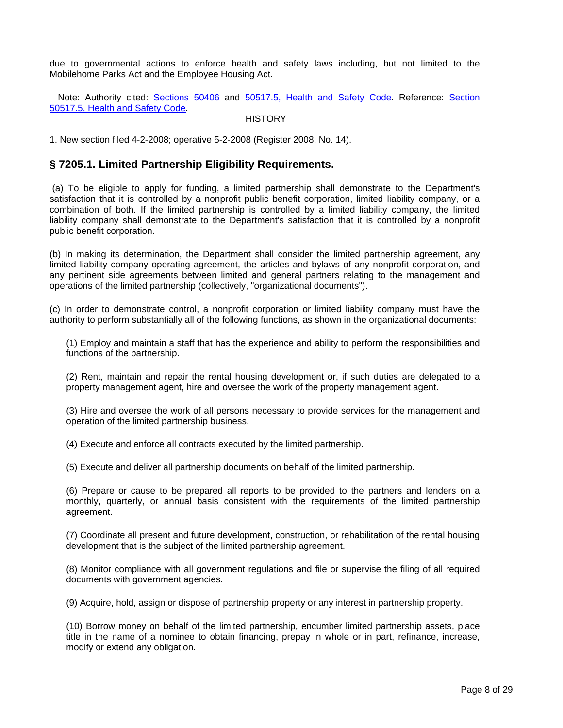<span id="page-7-0"></span>due to governmental actions to enforce health and safety laws including, but not limited to the Mobilehome Parks Act and the Employee Housing Act.

Note: Authority cited: Sections 50406 and 50517.5, Health and Safety Code. Reference: Section 50517.5, Health and Safety Code.

### **HISTORY**

1. New section filed 4-2-2008; operative 5-2-2008 (Register 2008, No. 14).

### **§ 7205.1. Limited Partnership Eligibility Requirements.**

(a) To be eligible to apply for funding, a limited partnership shall demonstrate to the Department's satisfaction that it is controlled by a nonprofit public benefit corporation, limited liability company, or a combination of both. If the limited partnership is controlled by a limited liability company, the limited liability company shall demonstrate to the Department's satisfaction that it is controlled by a nonprofit public benefit corporation.

(b) In making its determination, the Department shall consider the limited partnership agreement, any limited liability company operating agreement, the articles and bylaws of any nonprofit corporation, and any pertinent side agreements between limited and general partners relating to the management and operations of the limited partnership (collectively, "organizational documents").

(c) In order to demonstrate control, a nonprofit corporation or limited liability company must have the authority to perform substantially all of the following functions, as shown in the organizational documents:

(1) Employ and maintain a staff that has the experience and ability to perform the responsibilities and functions of the partnership.

(2) Rent, maintain and repair the rental housing development or, if such duties are delegated to a property management agent, hire and oversee the work of the property management agent.

(3) Hire and oversee the work of all persons necessary to provide services for the management and operation of the limited partnership business.

(4) Execute and enforce all contracts executed by the limited partnership.

(5) Execute and deliver all partnership documents on behalf of the limited partnership.

(6) Prepare or cause to be prepared all reports to be provided to the partners and lenders on a monthly, quarterly, or annual basis consistent with the requirements of the limited partnership agreement.

(7) Coordinate all present and future development, construction, or rehabilitation of the rental housing development that is the subject of the limited partnership agreement.

(8) Monitor compliance with all government regulations and file or supervise the filing of all required documents with government agencies.

(9) Acquire, hold, assign or dispose of partnership property or any interest in partnership property.

(10) Borrow money on behalf of the limited partnership, encumber limited partnership assets, place title in the name of a nominee to obtain financing, prepay in whole or in part, refinance, increase, modify or extend any obligation.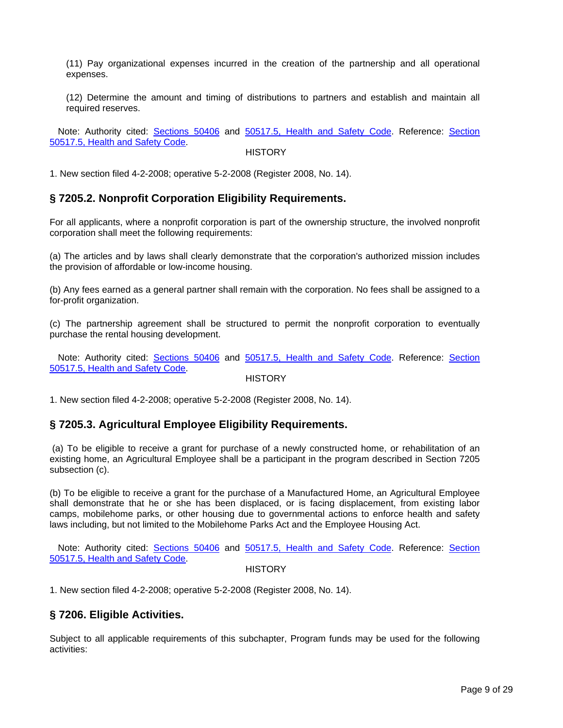<span id="page-8-0"></span>(11) Pay organizational expenses incurred in the creation of the partnership and all operational expenses.

(12) Determine the amount and timing of distributions to partners and establish and maintain all required reserves.

Note: Authority cited: Sections 50406 and 50517.5, Health and Safety Code. Reference: Section 50517.5, Health and Safety Code.

#### **HISTORY**

1. New section filed 4-2-2008; operative 5-2-2008 (Register 2008, No. 14).

### **§ 7205.2. Nonprofit Corporation Eligibility Requirements.**

 For all applicants, where a nonprofit corporation is part of the ownership structure, the involved nonprofit corporation shall meet the following requirements:

(a) The articles and by laws shall clearly demonstrate that the corporation's authorized mission includes the provision of affordable or low-income housing.

 (b) Any fees earned as a general partner shall remain with the corporation. No fees shall be assigned to a for-profit organization.

(c) The partnership agreement shall be structured to permit the nonprofit corporation to eventually purchase the rental housing development.

Note: Authority cited: Sections 50406 and 50517.5, Health and Safety Code. Reference: Section 50517.5, Health and Safety Code.

**HISTORY** 

1. New section filed 4-2-2008; operative 5-2-2008 (Register 2008, No. 14).

## **§ 7205.3. Agricultural Employee Eligibility Requirements.**

(a) To be eligible to receive a grant for purchase of a newly constructed home, or rehabilitation of an existing home, an Agricultural Employee shall be a participant in the program described in Section 7205 subsection (c).

(b) To be eligible to receive a grant for the purchase of a Manufactured Home, an Agricultural Employee shall demonstrate that he or she has been displaced, or is facing displacement, from existing labor camps, mobilehome parks, or other housing due to governmental actions to enforce health and safety laws including, but not limited to the Mobilehome Parks Act and the Employee Housing Act.

Note: Authority cited: Sections 50406 and 50517.5, Health and Safety Code. Reference: Section 50517.5, Health and Safety Code.

**HISTORY** 

1. New section filed 4-2-2008; operative 5-2-2008 (Register 2008, No. 14).

### **§ 7206. Eligible Activities.**

Subject to all applicable requirements of this subchapter, Program funds may be used for the following activities: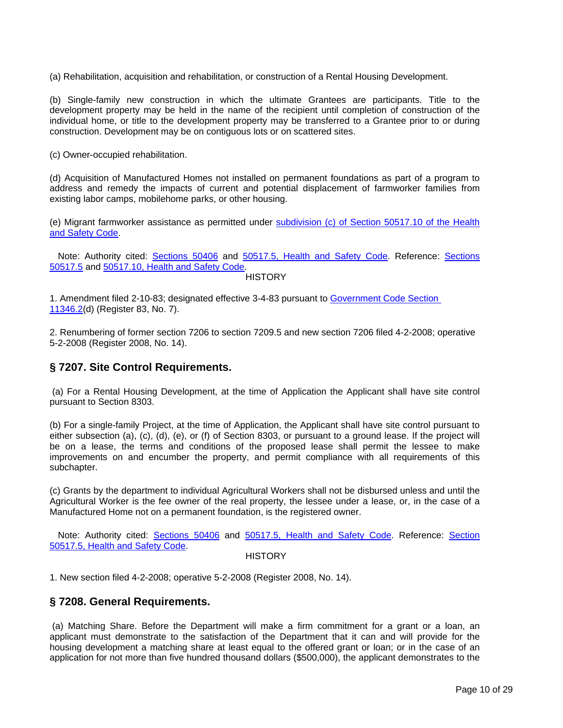<span id="page-9-0"></span>(a) Rehabilitation, acquisition and rehabilitation, or construction of a Rental Housing Development.

(b) Single-family new construction in which the ultimate Grantees are participants. Title to the development property may be held in the name of the recipient until completion of construction of the individual home, or title to the development property may be transferred to a Grantee prior to or during construction. Development may be on contiguous lots or on scattered sites.

(c) Owner-occupied rehabilitation.

(d) Acquisition of Manufactured Homes not installed on permanent foundations as part of a program to address and remedy the impacts of current and potential displacement of farmworker families from existing labor camps, mobilehome parks, or other housing.

(e) Migrant farmworker assistance as permitted under subdivision (c) of Section 50517.10 of the Health and Safety Code.

Note: Authority cited: Sections 50406 and 50517.5, Health and Safety Code. Reference: Sections 50517.5 and 50517.10, Health and Safety Code.

#### **HISTORY**

1. Amendment filed 2-10-83; designated effective 3-4-83 pursuant to Government Code Section 11346.2(d) (Register 83, No. 7).

2. Renumbering of former section 7206 to section 7209.5 and new section 7206 filed 4-2-2008; operative 5-2-2008 (Register 2008, No. 14).

### **§ 7207. Site Control Requirements.**

(a) For a Rental Housing Development, at the time of Application the Applicant shall have site control pursuant to Section 8303.

(b) For a single-family Project, at the time of Application, the Applicant shall have site control pursuant to either subsection (a), (c), (d), (e), or (f) of Section 8303, or pursuant to a ground lease. If the project will be on a lease, the terms and conditions of the proposed lease shall permit the lessee to make improvements on and encumber the property, and permit compliance with all requirements of this subchapter.

(c) Grants by the department to individual Agricultural Workers shall not be disbursed unless and until the Agricultural Worker is the fee owner of the real property, the lessee under a lease, or, in the case of a Manufactured Home not on a permanent foundation, is the registered owner.

Note: Authority cited: Sections 50406 and 50517.5, Health and Safety Code. Reference: Section 50517.5, Health and Safety Code.

#### **HISTORY**

1. New section filed 4-2-2008; operative 5-2-2008 (Register 2008, No. 14).

### **§ 7208. General Requirements.**

(a) Matching Share. Before the Department will make a firm commitment for a grant or a loan, an applicant must demonstrate to the satisfaction of the Department that it can and will provide for the housing development a matching share at least equal to the offered grant or loan; or in the case of an application for not more than five hundred thousand dollars (\$500,000), the applicant demonstrates to the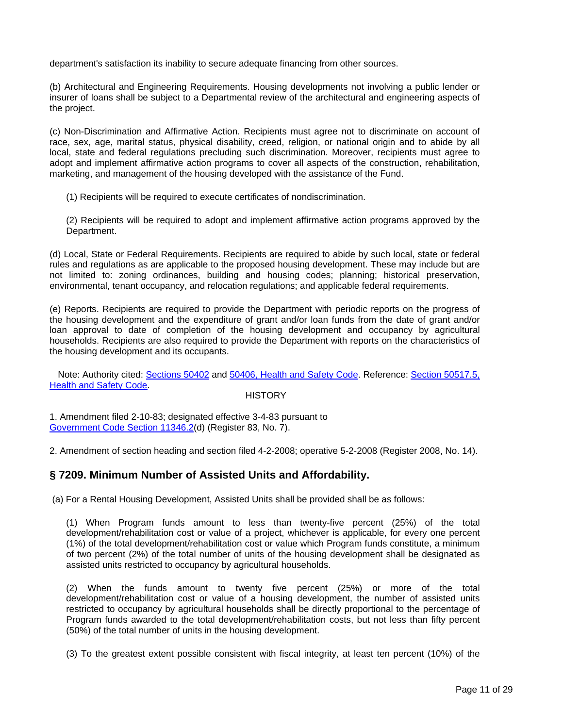<span id="page-10-0"></span>department's satisfaction its inability to secure adequate financing from other sources.

(b) Architectural and Engineering Requirements. Housing developments not involving a public lender or insurer of loans shall be subject to a Departmental review of the architectural and engineering aspects of the project.

(c) Non-Discrimination and Affirmative Action. Recipients must agree not to discriminate on account of race, sex, age, marital status, physical disability, creed, religion, or national origin and to abide by all local, state and federal regulations precluding such discrimination. Moreover, recipients must agree to adopt and implement affirmative action programs to cover all aspects of the construction, rehabilitation, marketing, and management of the housing developed with the assistance of the Fund.

(1) Recipients will be required to execute certificates of nondiscrimination.

(2) Recipients will be required to adopt and implement affirmative action programs approved by the Department.

(d) Local, State or Federal Requirements. Recipients are required to abide by such local, state or federal rules and regulations as are applicable to the proposed housing development. These may include but are not limited to: zoning ordinances, building and housing codes; planning; historical preservation, environmental, tenant occupancy, and relocation regulations; and applicable federal requirements.

(e) Reports. Recipients are required to provide the Department with periodic reports on the progress of the housing development and the expenditure of grant and/or loan funds from the date of grant and/or loan approval to date of completion of the housing development and occupancy by agricultural households. Recipients are also required to provide the Department with reports on the characteristics of the housing development and its occupants.

Note: Authority cited: Sections 50402 and 50406, Health and Safety Code. Reference: Section 50517.5, Health and Safety Code.

### **HISTORY**

1. Amendment filed 2-10-83; designated effective 3-4-83 pursuant to Government Code Section 11346.2(d) (Register 83, No. 7).

2. Amendment of section heading and section filed 4-2-2008; operative 5-2-2008 (Register 2008, No. 14).

## **§ 7209. Minimum Number of Assisted Units and Affordability.**

(a) For a Rental Housing Development, Assisted Units shall be provided shall be as follows:

(1) When Program funds amount to less than twenty-five percent (25%) of the total development/rehabilitation cost or value of a project, whichever is applicable, for every one percent (1%) of the total development/rehabilitation cost or value which Program funds constitute, a minimum of two percent (2%) of the total number of units of the housing development shall be designated as assisted units restricted to occupancy by agricultural households.

(2) When the funds amount to twenty five percent (25%) or more of the total development/rehabilitation cost or value of a housing development, the number of assisted units restricted to occupancy by agricultural households shall be directly proportional to the percentage of Program funds awarded to the total development/rehabilitation costs, but not less than fifty percent (50%) of the total number of units in the housing development.

(3) To the greatest extent possible consistent with fiscal integrity, at least ten percent (10%) of the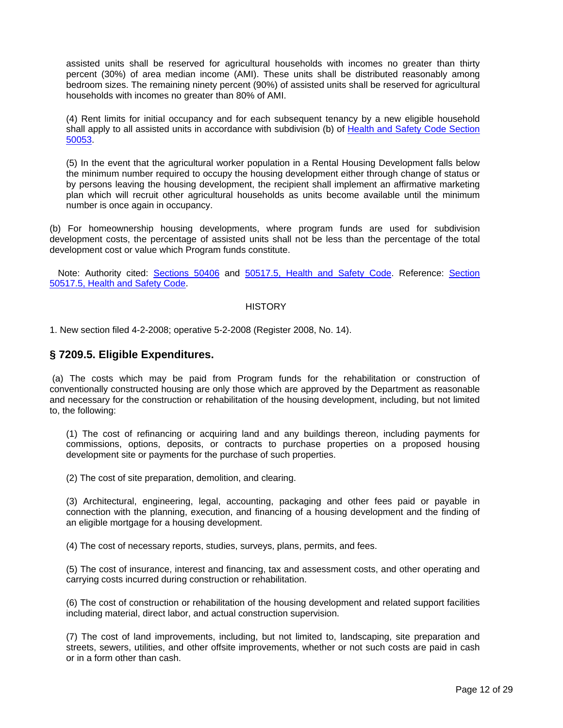<span id="page-11-0"></span>assisted units shall be reserved for agricultural households with incomes no greater than thirty percent (30%) of area median income (AMI). These units shall be distributed reasonably among bedroom sizes. The remaining ninety percent (90%) of assisted units shall be reserved for agricultural households with incomes no greater than 80% of AMI.

(4) Rent limits for initial occupancy and for each subsequent tenancy by a new eligible household shall apply to all assisted units in accordance with subdivision (b) of Health and Safety Code Section 50053.

(5) In the event that the agricultural worker population in a Rental Housing Development falls below the minimum number required to occupy the housing development either through change of status or by persons leaving the housing development, the recipient shall implement an affirmative marketing plan which will recruit other agricultural households as units become available until the minimum number is once again in occupancy.

(b) For homeownership housing developments, where program funds are used for subdivision development costs, the percentage of assisted units shall not be less than the percentage of the total development cost or value which Program funds constitute.

Note: Authority cited: Sections 50406 and 50517.5, Health and Safety Code. Reference: Section 50517.5, Health and Safety Code.

#### **HISTORY**

1. New section filed 4-2-2008; operative 5-2-2008 (Register 2008, No. 14).

### **§ 7209.5. Eligible Expenditures.**

(a) The costs which may be paid from Program funds for the rehabilitation or construction of conventionally constructed housing are only those which are approved by the Department as reasonable and necessary for the construction or rehabilitation of the housing development, including, but not limited to, the following:

(1) The cost of refinancing or acquiring land and any buildings thereon, including payments for commissions, options, deposits, or contracts to purchase properties on a proposed housing development site or payments for the purchase of such properties.

(2) The cost of site preparation, demolition, and clearing.

(3) Architectural, engineering, legal, accounting, packaging and other fees paid or payable in connection with the planning, execution, and financing of a housing development and the finding of an eligible mortgage for a housing development.

(4) The cost of necessary reports, studies, surveys, plans, permits, and fees.

(5) The cost of insurance, interest and financing, tax and assessment costs, and other operating and carrying costs incurred during construction or rehabilitation.

(6) The cost of construction or rehabilitation of the housing development and related support facilities including material, direct labor, and actual construction supervision.

(7) The cost of land improvements, including, but not limited to, landscaping, site preparation and streets, sewers, utilities, and other offsite improvements, whether or not such costs are paid in cash or in a form other than cash.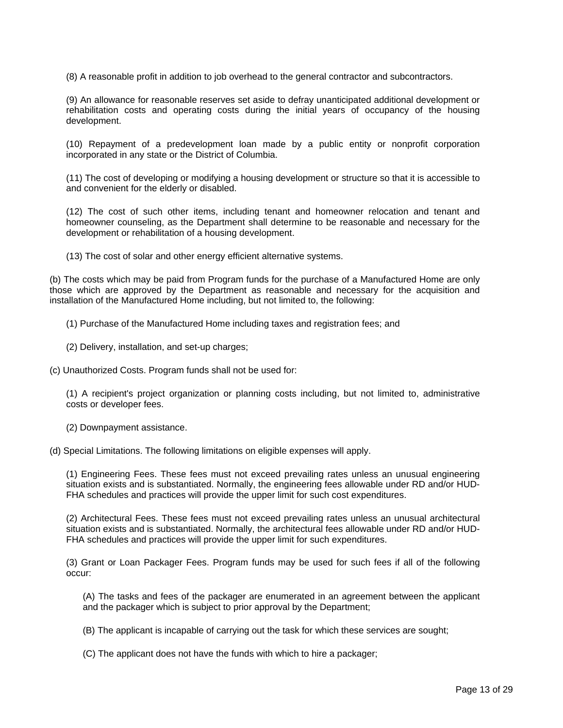(8) A reasonable profit in addition to job overhead to the general contractor and subcontractors.

(9) An allowance for reasonable reserves set aside to defray unanticipated additional development or rehabilitation costs and operating costs during the initial years of occupancy of the housing development.

(10) Repayment of a predevelopment loan made by a public entity or nonprofit corporation incorporated in any state or the District of Columbia.

(11) The cost of developing or modifying a housing development or structure so that it is accessible to and convenient for the elderly or disabled.

(12) The cost of such other items, including tenant and homeowner relocation and tenant and homeowner counseling, as the Department shall determine to be reasonable and necessary for the development or rehabilitation of a housing development.

(13) The cost of solar and other energy efficient alternative systems.

(b) The costs which may be paid from Program funds for the purchase of a Manufactured Home are only those which are approved by the Department as reasonable and necessary for the acquisition and installation of the Manufactured Home including, but not limited to, the following:

(1) Purchase of the Manufactured Home including taxes and registration fees; and

- (2) Delivery, installation, and set-up charges;
- (c) Unauthorized Costs. Program funds shall not be used for:

(1) A recipient's project organization or planning costs including, but not limited to, administrative costs or developer fees.

(2) Downpayment assistance.

(d) Special Limitations. The following limitations on eligible expenses will apply.

(1) Engineering Fees. These fees must not exceed prevailing rates unless an unusual engineering situation exists and is substantiated. Normally, the engineering fees allowable under RD and/or HUD-FHA schedules and practices will provide the upper limit for such cost expenditures.

(2) Architectural Fees. These fees must not exceed prevailing rates unless an unusual architectural situation exists and is substantiated. Normally, the architectural fees allowable under RD and/or HUD-FHA schedules and practices will provide the upper limit for such expenditures.

(3) Grant or Loan Packager Fees. Program funds may be used for such fees if all of the following occur:

(A) The tasks and fees of the packager are enumerated in an agreement between the applicant and the packager which is subject to prior approval by the Department;

(B) The applicant is incapable of carrying out the task for which these services are sought;

(C) The applicant does not have the funds with which to hire a packager;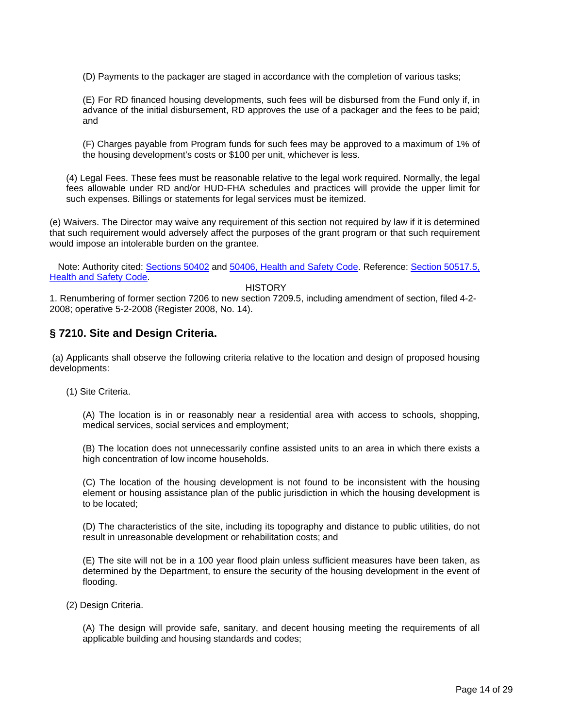<span id="page-13-0"></span>(D) Payments to the packager are staged in accordance with the completion of various tasks;

(E) For RD financed housing developments, such fees will be disbursed from the Fund only if, in advance of the initial disbursement, RD approves the use of a packager and the fees to be paid; and

(F) Charges payable from Program funds for such fees may be approved to a maximum of 1% of the housing development's costs or \$100 per unit, whichever is less.

(4) Legal Fees. These fees must be reasonable relative to the legal work required. Normally, the legal fees allowable under RD and/or HUD-FHA schedules and practices will provide the upper limit for such expenses. Billings or statements for legal services must be itemized.

(e) Waivers. The Director may waive any requirement of this section not required by law if it is determined that such requirement would adversely affect the purposes of the grant program or that such requirement would impose an intolerable burden on the grantee.

Note: Authority cited: Sections 50402 and 50406, Health and Safety Code. Reference: Section 50517.5, **Health and Safety Code.** 

**HISTORY** 

1. Renumbering of former section 7206 to new section 7209.5, including amendment of section, filed 4-2- 2008; operative 5-2-2008 (Register 2008, No. 14).

# **§ 7210. Site and Design Criteria.**

(a) Applicants shall observe the following criteria relative to the location and design of proposed housing developments:

(1) Site Criteria.

(A) The location is in or reasonably near a residential area with access to schools, shopping, medical services, social services and employment;

(B) The location does not unnecessarily confine assisted units to an area in which there exists a high concentration of low income households.

(C) The location of the housing development is not found to be inconsistent with the housing element or housing assistance plan of the public jurisdiction in which the housing development is to be located;

(D) The characteristics of the site, including its topography and distance to public utilities, do not result in unreasonable development or rehabilitation costs; and

(E) The site will not be in a 100 year flood plain unless sufficient measures have been taken, as determined by the Department, to ensure the security of the housing development in the event of flooding.

(2) Design Criteria.

(A) The design will provide safe, sanitary, and decent housing meeting the requirements of all applicable building and housing standards and codes;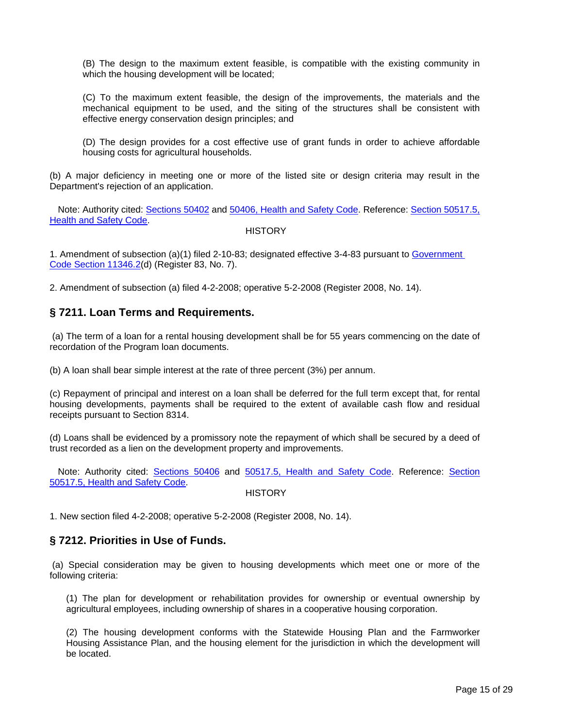<span id="page-14-0"></span>(B) The design to the maximum extent feasible, is compatible with the existing community in which the housing development will be located;

(C) To the maximum extent feasible, the design of the improvements, the materials and the mechanical equipment to be used, and the siting of the structures shall be consistent with effective energy conservation design principles; and

(D) The design provides for a cost effective use of grant funds in order to achieve affordable housing costs for agricultural households.

(b) A major deficiency in meeting one or more of the listed site or design criteria may result in the Department's rejection of an application.

Note: Authority cited: Sections 50402 and 50406, Health and Safety Code. Reference: Section 50517.5, Health and Safety Code.

#### **HISTORY**

1. Amendment of subsection (a)(1) filed 2-10-83; designated effective 3-4-83 pursuant to Government Code Section 11346.2(d) (Register 83, No. 7).

2. Amendment of subsection (a) filed 4-2-2008; operative 5-2-2008 (Register 2008, No. 14).

## **§ 7211. Loan Terms and Requirements.**

(a) The term of a loan for a rental housing development shall be for 55 years commencing on the date of recordation of the Program loan documents.

(b) A loan shall bear simple interest at the rate of three percent (3%) per annum.

(c) Repayment of principal and interest on a loan shall be deferred for the full term except that, for rental housing developments, payments shall be required to the extent of available cash flow and residual receipts pursuant to Section 8314.

(d) Loans shall be evidenced by a promissory note the repayment of which shall be secured by a deed of trust recorded as a lien on the development property and improvements.

Note: Authority cited: Sections 50406 and 50517.5, Health and Safety Code. Reference: Section 50517.5, Health and Safety Code.

**HISTORY** 

1. New section filed 4-2-2008; operative 5-2-2008 (Register 2008, No. 14).

# **§ 7212. Priorities in Use of Funds.**

(a) Special consideration may be given to housing developments which meet one or more of the following criteria:

(1) The plan for development or rehabilitation provides for ownership or eventual ownership by agricultural employees, including ownership of shares in a cooperative housing corporation.

(2) The housing development conforms with the Statewide Housing Plan and the Farmworker Housing Assistance Plan, and the housing element for the jurisdiction in which the development will be located.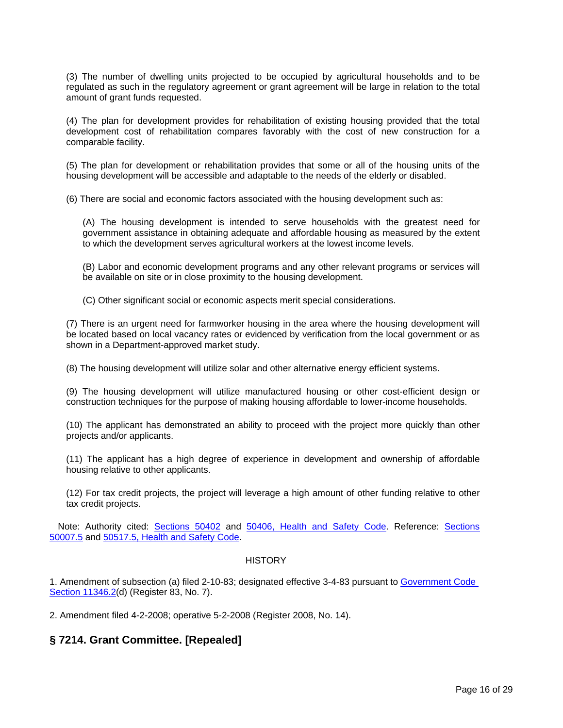<span id="page-15-0"></span>(3) The number of dwelling units projected to be occupied by agricultural households and to be regulated as such in the regulatory agreement or grant agreement will be large in relation to the total amount of grant funds requested.

(4) The plan for development provides for rehabilitation of existing housing provided that the total development cost of rehabilitation compares favorably with the cost of new construction for a comparable facility.

(5) The plan for development or rehabilitation provides that some or all of the housing units of the housing development will be accessible and adaptable to the needs of the elderly or disabled.

(6) There are social and economic factors associated with the housing development such as:

(A) The housing development is intended to serve households with the greatest need for government assistance in obtaining adequate and affordable housing as measured by the extent to which the development serves agricultural workers at the lowest income levels.

(B) Labor and economic development programs and any other relevant programs or services will be available on site or in close proximity to the housing development.

(C) Other significant social or economic aspects merit special considerations.

(7) There is an urgent need for farmworker housing in the area where the housing development will be located based on local vacancy rates or evidenced by verification from the local government or as shown in a Department-approved market study.

(8) The housing development will utilize solar and other alternative energy efficient systems.

(9) The housing development will utilize manufactured housing or other cost-efficient design or construction techniques for the purpose of making housing affordable to lower-income households.

(10) The applicant has demonstrated an ability to proceed with the project more quickly than other projects and/or applicants.

(11) The applicant has a high degree of experience in development and ownership of affordable housing relative to other applicants.

(12) For tax credit projects, the project will leverage a high amount of other funding relative to other tax credit projects.

Note: Authority cited: Sections 50402 and 50406, Health and Safety Code. Reference: Sections 50007.5 and 50517.5, Health and Safety Code.

### **HISTORY**

1. Amendment of subsection (a) filed 2-10-83; designated effective 3-4-83 pursuant to Government Code Section 11346.2(d) (Register 83, No. 7).

2. Amendment filed 4-2-2008; operative 5-2-2008 (Register 2008, No. 14).

## **§ 7214. Grant Committee. [Repealed]**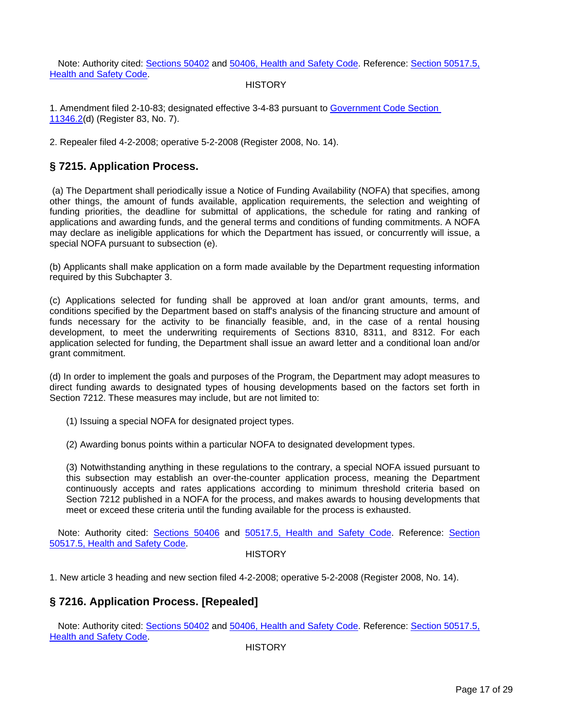<span id="page-16-0"></span>Note: Authority cited: Sections 50402 and 50406, Health and Safety Code. Reference: Section 50517.5, Health and Safety Code.

### **HISTORY**

1. Amendment filed 2-10-83; designated effective 3-4-83 pursuant to Government Code Section 11346.2(d) (Register 83, No. 7).

2. Repealer filed 4-2-2008; operative 5-2-2008 (Register 2008, No. 14).

# **§ 7215. Application Process.**

(a) The Department shall periodically issue a Notice of Funding Availability (NOFA) that specifies, among other things, the amount of funds available, application requirements, the selection and weighting of funding priorities, the deadline for submittal of applications, the schedule for rating and ranking of applications and awarding funds, and the general terms and conditions of funding commitments. A NOFA may declare as ineligible applications for which the Department has issued, or concurrently will issue, a special NOFA pursuant to subsection (e).

(b) Applicants shall make application on a form made available by the Department requesting information required by this Subchapter 3.

(c) Applications selected for funding shall be approved at loan and/or grant amounts, terms, and conditions specified by the Department based on staff's analysis of the financing structure and amount of funds necessary for the activity to be financially feasible, and, in the case of a rental housing development, to meet the underwriting requirements of Sections 8310, 8311, and 8312. For each application selected for funding, the Department shall issue an award letter and a conditional loan and/or grant commitment.

(d) In order to implement the goals and purposes of the Program, the Department may adopt measures to direct funding awards to designated types of housing developments based on the factors set forth in Section 7212. These measures may include, but are not limited to:

- (1) Issuing a special NOFA for designated project types.
- (2) Awarding bonus points within a particular NOFA to designated development types.

(3) Notwithstanding anything in these regulations to the contrary, a special NOFA issued pursuant to this subsection may establish an over-the-counter application process, meaning the Department continuously accepts and rates applications according to minimum threshold criteria based on Section 7212 published in a NOFA for the process, and makes awards to housing developments that meet or exceed these criteria until the funding available for the process is exhausted.

Note: Authority cited: **Sections 50406 and 50517.5**, Health and Safety Code. Reference: Section 50517.5, Health and Safety Code.

### **HISTORY**

1. New article 3 heading and new section filed 4-2-2008; operative 5-2-2008 (Register 2008, No. 14).

# **§ 7216. Application Process. [Repealed]**

Note: Authority cited: Sections 50402 and 50406, Health and Safety Code. Reference: Section 50517.5, **Health and Safety Code.**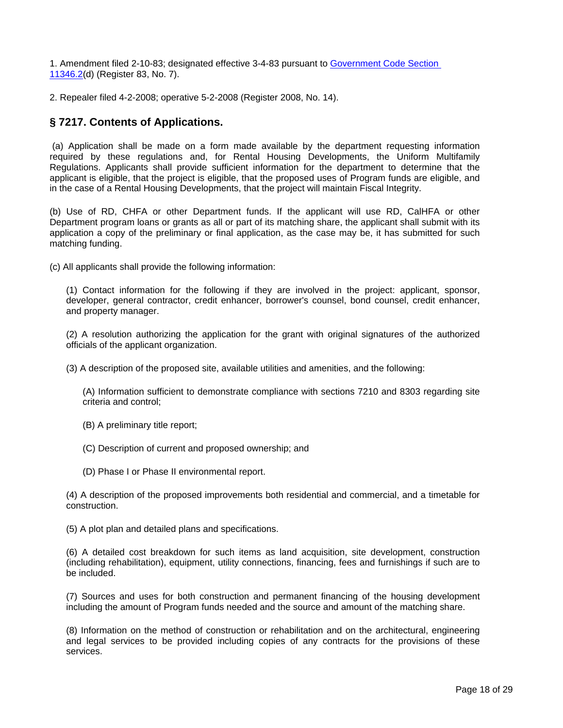<span id="page-17-0"></span>1. Amendment filed 2-10-83; designated effective 3-4-83 pursuant to Government Code Section 11346.2(d) (Register 83, No. 7).

2. Repealer filed 4-2-2008; operative 5-2-2008 (Register 2008, No. 14).

# **§ 7217. Contents of Applications.**

(a) Application shall be made on a form made available by the department requesting information required by these regulations and, for Rental Housing Developments, the Uniform Multifamily Regulations. Applicants shall provide sufficient information for the department to determine that the applicant is eligible, that the project is eligible, that the proposed uses of Program funds are eligible, and in the case of a Rental Housing Developments, that the project will maintain Fiscal Integrity.

(b) Use of RD, CHFA or other Department funds. If the applicant will use RD, CalHFA or other Department program loans or grants as all or part of its matching share, the applicant shall submit with its application a copy of the preliminary or final application, as the case may be, it has submitted for such matching funding.

(c) All applicants shall provide the following information:

(1) Contact information for the following if they are involved in the project: applicant, sponsor, developer, general contractor, credit enhancer, borrower's counsel, bond counsel, credit enhancer, and property manager.

(2) A resolution authorizing the application for the grant with original signatures of the authorized officials of the applicant organization.

(3) A description of the proposed site, available utilities and amenities, and the following:

(A) Information sufficient to demonstrate compliance with sections 7210 and 8303 regarding site criteria and control;

- (B) A preliminary title report;
- (C) Description of current and proposed ownership; and
- (D) Phase I or Phase II environmental report.

(4) A description of the proposed improvements both residential and commercial, and a timetable for construction.

(5) A plot plan and detailed plans and specifications.

(6) A detailed cost breakdown for such items as land acquisition, site development, construction (including rehabilitation), equipment, utility connections, financing, fees and furnishings if such are to be included.

(7) Sources and uses for both construction and permanent financing of the housing development including the amount of Program funds needed and the source and amount of the matching share.

 and legal services to be provided including copies of any contracts for the provisions of these (8) Information on the method of construction or rehabilitation and on the architectural, engineering services.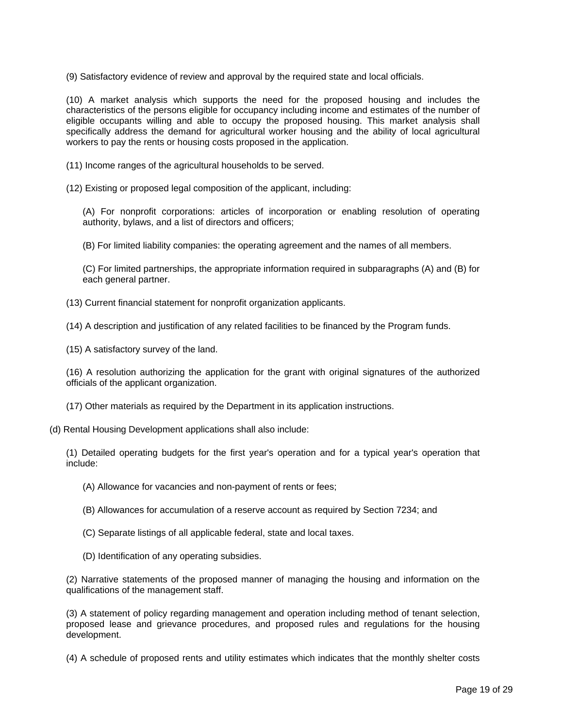(9) Satisfactory evidence of review and approval by the required state and local officials.

(10) A market analysis which supports the need for the proposed housing and includes the characteristics of the persons eligible for occupancy including income and estimates of the number of eligible occupants willing and able to occupy the proposed housing. This market analysis shall specifically address the demand for agricultural worker housing and the ability of local agricultural workers to pay the rents or housing costs proposed in the application.

(11) Income ranges of the agricultural households to be served.

(12) Existing or proposed legal composition of the applicant, including:

(A) For nonprofit corporations: articles of incorporation or enabling resolution of operating authority, bylaws, and a list of directors and officers;

(B) For limited liability companies: the operating agreement and the names of all members.

(C) For limited partnerships, the appropriate information required in subparagraphs (A) and (B) for each general partner.

(13) Current financial statement for nonprofit organization applicants.

(14) A description and justification of any related facilities to be financed by the Program funds.

(15) A satisfactory survey of the land.

(16) A resolution authorizing the application for the grant with original signatures of the authorized officials of the applicant organization.

(17) Other materials as required by the Department in its application instructions.

(d) Rental Housing Development applications shall also include:

(1) Detailed operating budgets for the first year's operation and for a typical year's operation that include:

(A) Allowance for vacancies and non-payment of rents or fees;

- (B) Allowances for accumulation of a reserve account as required by Section 7234; and
- (C) Separate listings of all applicable federal, state and local taxes.
- (D) Identification of any operating subsidies.

(2) Narrative statements of the proposed manner of managing the housing and information on the qualifications of the management staff.

(3) A statement of policy regarding management and operation including method of tenant selection, proposed lease and grievance procedures, and proposed rules and regulations for the housing development.

(4) A schedule of proposed rents and utility estimates which indicates that the monthly shelter costs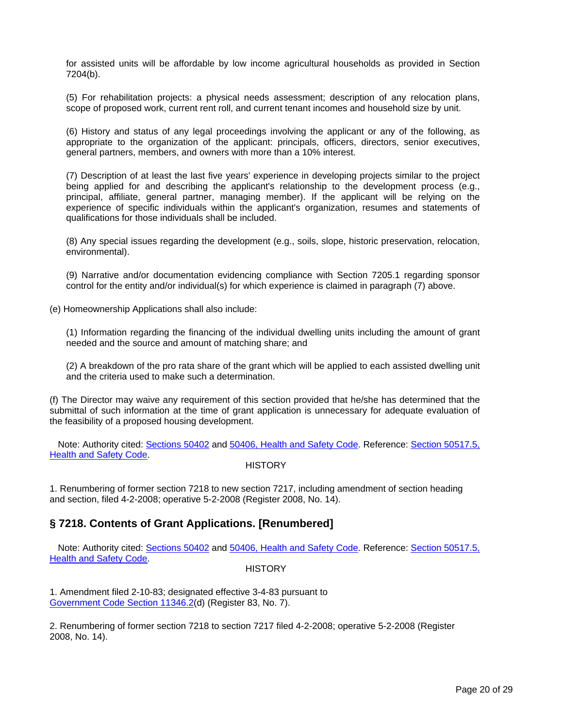<span id="page-19-0"></span>for assisted units will be affordable by low income agricultural households as provided in Section 7204(b).

(5) For rehabilitation projects: a physical needs assessment; description of any relocation plans, scope of proposed work, current rent roll, and current tenant incomes and household size by unit.

(6) History and status of any legal proceedings involving the applicant or any of the following, as appropriate to the organization of the applicant: principals, officers, directors, senior executives, general partners, members, and owners with more than a 10% interest.

(7) Description of at least the last five years' experience in developing projects similar to the project being applied for and describing the applicant's relationship to the development process (e.g., principal, affiliate, general partner, managing member). If the applicant will be relying on the experience of specific individuals within the applicant's organization, resumes and statements of qualifications for those individuals shall be included.

(8) Any special issues regarding the development (e.g., soils, slope, historic preservation, relocation, environmental).

(9) Narrative and/or documentation evidencing compliance with Section 7205.1 regarding sponsor control for the entity and/or individual(s) for which experience is claimed in paragraph (7) above.

(e) Homeownership Applications shall also include:

(1) Information regarding the financing of the individual dwelling units including the amount of grant needed and the source and amount of matching share; and

(2) A breakdown of the pro rata share of the grant which will be applied to each assisted dwelling unit and the criteria used to make such a determination.

(f) The Director may waive any requirement of this section provided that he/she has determined that the submittal of such information at the time of grant application is unnecessary for adequate evaluation of the feasibility of a proposed housing development.

Note: Authority cited: Sections 50402 and 50406, Health and Safety Code. Reference: Section 50517.5, **Health and Safety Code.** 

#### **HISTORY**

1. Renumbering of former section 7218 to new section 7217, including amendment of section heading and section, filed 4-2-2008; operative 5-2-2008 (Register 2008, No. 14).

## **§ 7218. Contents of Grant Applications. [Renumbered]**

Note: Authority cited: Sections 50402 and 50406, Health and Safety Code. Reference: Section 50517.5, Health and Safety Code.

#### **HISTORY**

1. Amendment filed 2-10-83; designated effective 3-4-83 pursuant to Government Code Section 11346.2(d) (Register 83, No. 7).

2. Renumbering of former section 7218 to section 7217 filed 4-2-2008; operative 5-2-2008 (Register 2008, No. 14).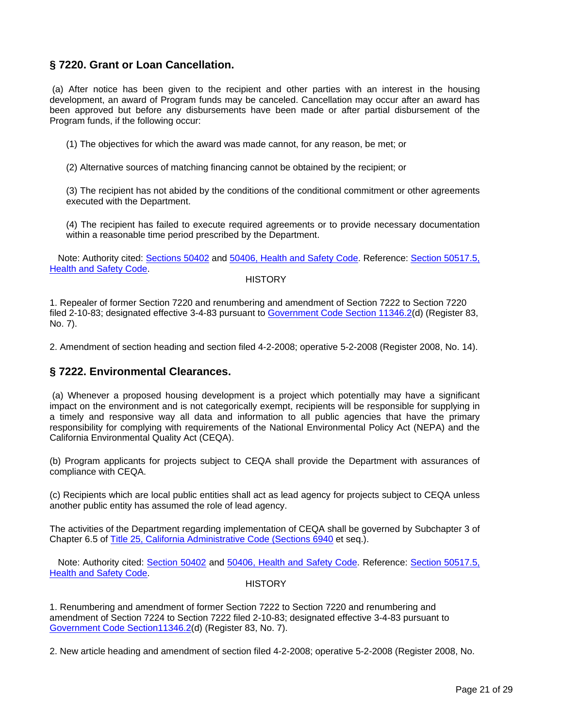# <span id="page-20-0"></span>**§ 7220. Grant or Loan Cancellation.**

(a) After notice has been given to the recipient and other parties with an interest in the housing development, an award of Program funds may be canceled. Cancellation may occur after an award has been approved but before any disbursements have been made or after partial disbursement of the Program funds, if the following occur:

(1) The objectives for which the award was made cannot, for any reason, be met; or

(2) Alternative sources of matching financing cannot be obtained by the recipient; or

(3) The recipient has not abided by the conditions of the conditional commitment or other agreements executed with the Department.

(4) The recipient has failed to execute required agreements or to provide necessary documentation within a reasonable time period prescribed by the Department.

Note: Authority cited: Sections 50402 and 50406, Health and Safety Code. Reference: Section 50517.5, Health and Safety Code.

#### **HISTORY**

1. Repealer of former Section 7220 and renumbering and amendment of Section 7222 to Section 7220 filed 2-10-83; designated effective 3-4-83 pursuant to Government Code Section 11346.2(d) (Register 83, No. 7).

2. Amendment of section heading and section filed 4-2-2008; operative 5-2-2008 (Register 2008, No. 14).

### **§ 7222. Environmental Clearances.**

(a) Whenever a proposed housing development is a project which potentially may have a significant impact on the environment and is not categorically exempt, recipients will be responsible for supplying in a timely and responsive way all data and information to all public agencies that have the primary responsibility for complying with requirements of the National Environmental Policy Act (NEPA) and the California Environmental Quality Act (CEQA).

(b) Program applicants for projects subject to CEQA shall provide the Department with assurances of compliance with CEQA.

(c) Recipients which are local public entities shall act as lead agency for projects subject to CEQA unless another public entity has assumed the role of lead agency.

The activities of the Department regarding implementation of CEQA shall be governed by Subchapter 3 of Chapter 6.5 of Title 25, California Administrative Code (Sections 6940 et seq.).

Note: Authority cited: Section 50402 and 50406, Health and Safety Code. Reference: Section 50517.5, Health and Safety Code.

#### **HISTORY**

1. Renumbering and amendment of former Section 7222 to Section 7220 and renumbering and amendment of Section 7224 to Section 7222 filed 2-10-83; designated effective 3-4-83 pursuant to Government Code Section11346.2(d) (Register 83, No. 7).

2. New article heading and amendment of section filed 4-2-2008; operative 5-2-2008 (Register 2008, No.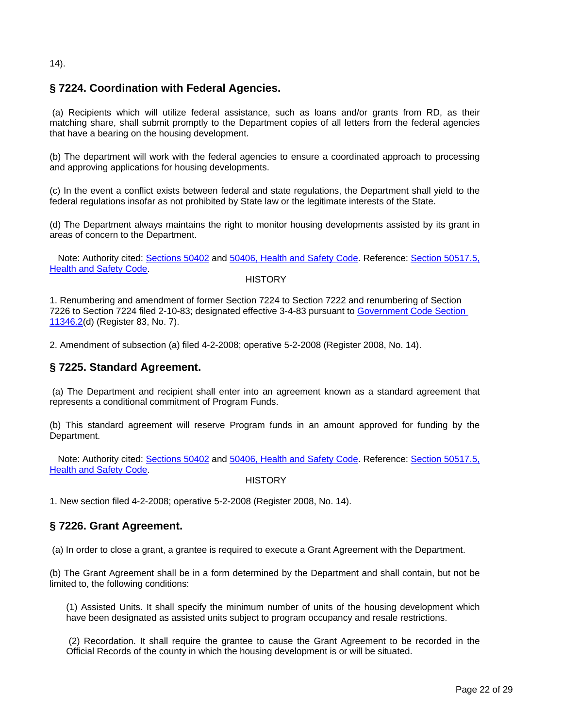### <span id="page-21-0"></span>14).

# **§ 7224. Coordination with Federal Agencies.**

(a) Recipients which will utilize federal assistance, such as loans and/or grants from RD, as their matching share, shall submit promptly to the Department copies of all letters from the federal agencies that have a bearing on the housing development.

(b) The department will work with the federal agencies to ensure a coordinated approach to processing and approving applications for housing developments.

(c) In the event a conflict exists between federal and state regulations, the Department shall yield to the federal regulations insofar as not prohibited by State law or the legitimate interests of the State.

(d) The Department always maintains the right to monitor housing developments assisted by its grant in areas of concern to the Department.

Note: Authority cited: Sections 50402 and 50406, Health and Safety Code. Reference: Section 50517.5, Health and Safety Code.

**HISTORY** 

1. Renumbering and amendment of former Section 7224 to Section 7222 and renumbering of Section 7226 to Section 7224 filed 2-10-83; designated effective 3-4-83 pursuant to Government Code Section 11346.2(d) (Register 83, No. 7).

2. Amendment of subsection (a) filed 4-2-2008; operative 5-2-2008 (Register 2008, No. 14).

## **§ 7225. Standard Agreement.**

(a) The Department and recipient shall enter into an agreement known as a standard agreement that represents a conditional commitment of Program Funds.

(b) This standard agreement will reserve Program funds in an amount approved for funding by the Department.

Note: Authority cited: Sections 50402 and 50406, Health and Safety Code. Reference: Section 50517.5, Health and Safety Code.

**HISTORY** 

1. New section filed 4-2-2008; operative 5-2-2008 (Register 2008, No. 14).

## **§ 7226. Grant Agreement.**

(a) In order to close a grant, a grantee is required to execute a Grant Agreement with the Department.

(b) The Grant Agreement shall be in a form determined by the Department and shall contain, but not be limited to, the following conditions:

(1) Assisted Units. It shall specify the minimum number of units of the housing development which have been designated as assisted units subject to program occupancy and resale restrictions.

(2) Recordation. It shall require the grantee to cause the Grant Agreement to be recorded in the Official Records of the county in which the housing development is or will be situated.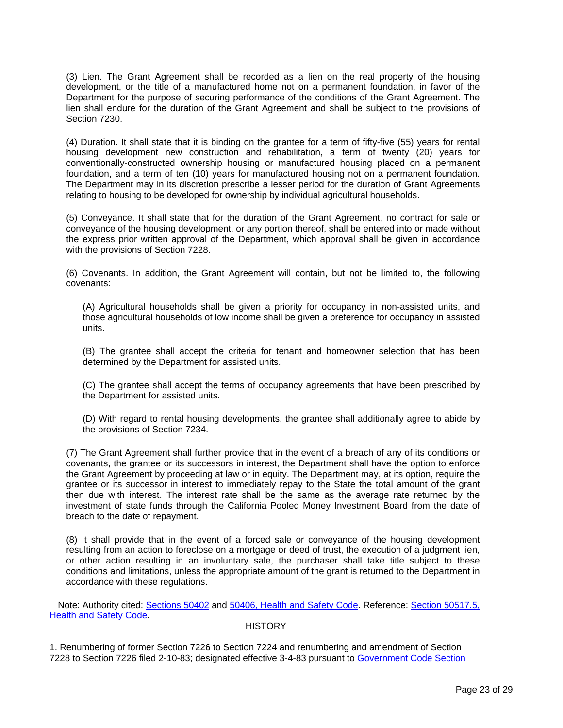(3) Lien. The Grant Agreement shall be recorded as a lien on the real property of the housing development, or the title of a manufactured home not on a permanent foundation, in favor of the Department for the purpose of securing performance of the conditions of the Grant Agreement. The lien shall endure for the duration of the Grant Agreement and shall be subject to the provisions of Section 7230.

(4) Duration. It shall state that it is binding on the grantee for a term of fifty-five (55) years for rental housing development new construction and rehabilitation, a term of twenty (20) years for conventionally-constructed ownership housing or manufactured housing placed on a permanent foundation, and a term of ten (10) years for manufactured housing not on a permanent foundation. The Department may in its discretion prescribe a lesser period for the duration of Grant Agreements relating to housing to be developed for ownership by individual agricultural households.

(5) Conveyance. It shall state that for the duration of the Grant Agreement, no contract for sale or conveyance of the housing development, or any portion thereof, shall be entered into or made without the express prior written approval of the Department, which approval shall be given in accordance with the provisions of Section 7228.

(6) Covenants. In addition, the Grant Agreement will contain, but not be limited to, the following covenants:

(A) Agricultural households shall be given a priority for occupancy in non-assisted units, and those agricultural households of low income shall be given a preference for occupancy in assisted units.

(B) The grantee shall accept the criteria for tenant and homeowner selection that has been determined by the Department for assisted units.

(C) The grantee shall accept the terms of occupancy agreements that have been prescribed by the Department for assisted units.

(D) With regard to rental housing developments, the grantee shall additionally agree to abide by the provisions of Section 7234.

 covenants, the grantee or its successors in interest, the Department shall have the option to enforce (7) The Grant Agreement shall further provide that in the event of a breach of any of its conditions or the Grant Agreement by proceeding at law or in equity. The Department may, at its option, require the grantee or its successor in interest to immediately repay to the State the total amount of the grant then due with interest. The interest rate shall be the same as the average rate returned by the investment of state funds through the California Pooled Money Investment Board from the date of breach to the date of repayment.

(8) It shall provide that in the event of a forced sale or conveyance of the housing development resulting from an action to foreclose on a mortgage or deed of trust, the execution of a judgment lien, or other action resulting in an involuntary sale, the purchaser shall take title subject to these conditions and limitations, unless the appropriate amount of the grant is returned to the Department in accordance with these regulations.

Note: Authority cited: Sections 50402 and 50406, Health and Safety Code. Reference: Section 50517.5, Health and Safety Code.

### **HISTORY**

1. Renumbering of former Section 7226 to Section 7224 and renumbering and amendment of Section 7228 to Section 7226 filed 2-10-83; designated effective 3-4-83 pursuant to Government Code Section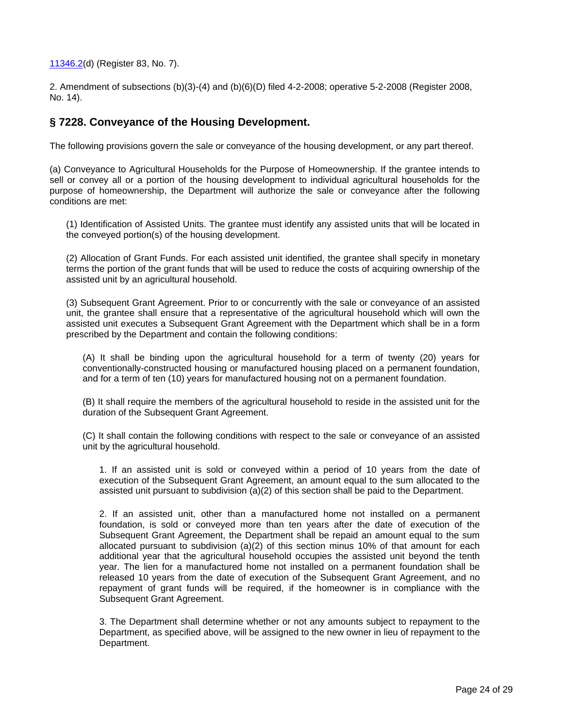<span id="page-23-0"></span>11346.2(d) (Register 83, No. 7).

2. Amendment of subsections (b)(3)-(4) and (b)(6)(D) filed 4-2-2008; operative 5-2-2008 (Register 2008, No. 14).

## **§ 7228. Conveyance of the Housing Development.**

The following provisions govern the sale or conveyance of the housing development, or any part thereof.

(a) Conveyance to Agricultural Households for the Purpose of Homeownership. If the grantee intends to sell or convey all or a portion of the housing development to individual agricultural households for the purpose of homeownership, the Department will authorize the sale or conveyance after the following conditions are met:

(1) Identification of Assisted Units. The grantee must identify any assisted units that will be located in the conveyed portion(s) of the housing development.

(2) Allocation of Grant Funds. For each assisted unit identified, the grantee shall specify in monetary terms the portion of the grant funds that will be used to reduce the costs of acquiring ownership of the assisted unit by an agricultural household.

(3) Subsequent Grant Agreement. Prior to or concurrently with the sale or conveyance of an assisted unit, the grantee shall ensure that a representative of the agricultural household which will own the assisted unit executes a Subsequent Grant Agreement with the Department which shall be in a form prescribed by the Department and contain the following conditions:

(A) It shall be binding upon the agricultural household for a term of twenty (20) years for conventionally-constructed housing or manufactured housing placed on a permanent foundation, and for a term of ten (10) years for manufactured housing not on a permanent foundation.

(B) It shall require the members of the agricultural household to reside in the assisted unit for the duration of the Subsequent Grant Agreement.

(C) It shall contain the following conditions with respect to the sale or conveyance of an assisted unit by the agricultural household.

1. If an assisted unit is sold or conveyed within a period of 10 years from the date of execution of the Subsequent Grant Agreement, an amount equal to the sum allocated to the assisted unit pursuant to subdivision (a)(2) of this section shall be paid to the Department.

2. If an assisted unit, other than a manufactured home not installed on a permanent foundation, is sold or conveyed more than ten years after the date of execution of the Subsequent Grant Agreement, the Department shall be repaid an amount equal to the sum allocated pursuant to subdivision (a)(2) of this section minus 10% of that amount for each additional year that the agricultural household occupies the assisted unit beyond the tenth year. The lien for a manufactured home not installed on a permanent foundation shall be released 10 years from the date of execution of the Subsequent Grant Agreement, and no repayment of grant funds will be required, if the homeowner is in compliance with the Subsequent Grant Agreement.

3. The Department shall determine whether or not any amounts subject to repayment to the Department, as specified above, will be assigned to the new owner in lieu of repayment to the Department.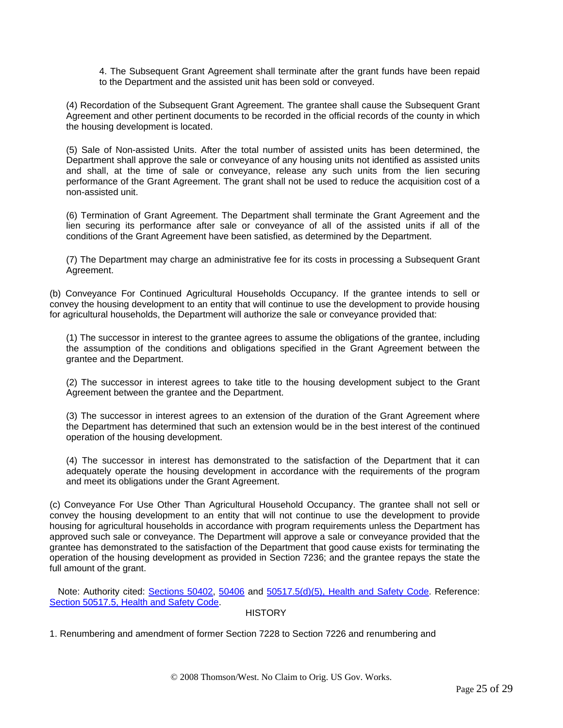4. The Subsequent Grant Agreement shall terminate after the grant funds have been repaid to the Department and the assisted unit has been sold or conveyed.

(4) Recordation of the Subsequent Grant Agreement. The grantee shall cause the Subsequent Grant Agreement and other pertinent documents to be recorded in the official records of the county in which the housing development is located.

(5) Sale of Non-assisted Units. After the total number of assisted units has been determined, the Department shall approve the sale or conveyance of any housing units not identified as assisted units and shall, at the time of sale or conveyance, release any such units from the lien securing performance of the Grant Agreement. The grant shall not be used to reduce the acquisition cost of a non-assisted unit.

(6) Termination of Grant Agreement. The Department shall terminate the Grant Agreement and the lien securing its performance after sale or conveyance of all of the assisted units if all of the conditions of the Grant Agreement have been satisfied, as determined by the Department.

(7) The Department may charge an administrative fee for its costs in processing a Subsequent Grant Agreement.

(b) Conveyance For Continued Agricultural Households Occupancy. If the grantee intends to sell or convey the housing development to an entity that will continue to use the development to provide housing for agricultural households, the Department will authorize the sale or conveyance provided that:

(1) The successor in interest to the grantee agrees to assume the obligations of the grantee, including the assumption of the conditions and obligations specified in the Grant Agreement between the grantee and the Department.

(2) The successor in interest agrees to take title to the housing development subject to the Grant Agreement between the grantee and the Department.

(3) The successor in interest agrees to an extension of the duration of the Grant Agreement where the Department has determined that such an extension would be in the best interest of the continued operation of the housing development.

(4) The successor in interest has demonstrated to the satisfaction of the Department that it can adequately operate the housing development in accordance with the requirements of the program and meet its obligations under the Grant Agreement.

(c) Conveyance For Use Other Than Agricultural Household Occupancy. The grantee shall not sell or convey the housing development to an entity that will not continue to use the development to provide housing for agricultural households in accordance with program requirements unless the Department has approved such sale or conveyance. The Department will approve a sale or conveyance provided that the grantee has demonstrated to the satisfaction of the Department that good cause exists for terminating the operation of the housing development as provided in Section 7236; and the grantee repays the state the full amount of the grant.

Note: Authority cited: Sections 50402, 50406 and 50517.5(d)(5), Health and Safety Code. Reference: Section 50517.5, Health and Safety Code.

**HISTORY** 

1. Renumbering and amendment of former Section 7228 to Section 7226 and renumbering and

© 2008 Thomson/West. No Claim to Orig. US Gov. Works.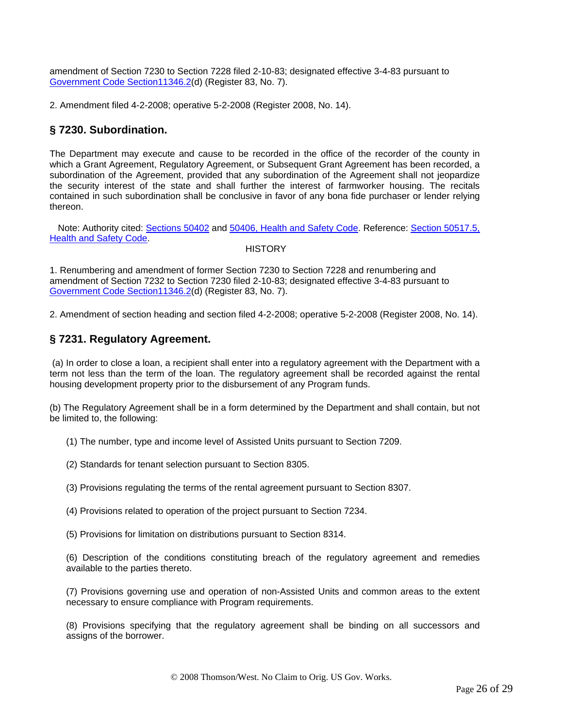<span id="page-25-0"></span>amendment of Section 7230 to Section 7228 filed 2-10-83; designated effective 3-4-83 pursuant to Government Code Section11346.2(d) (Register 83, No. 7).

2. Amendment filed 4-2-2008; operative 5-2-2008 (Register 2008, No. 14).

# **§ 7230. Subordination.**

The Department may execute and cause to be recorded in the office of the recorder of the county in which a Grant Agreement, Regulatory Agreement, or Subsequent Grant Agreement has been recorded, a subordination of the Agreement, provided that any subordination of the Agreement shall not jeopardize the security interest of the state and shall further the interest of farmworker housing. The recitals contained in such subordination shall be conclusive in favor of any bona fide purchaser or lender relying thereon.

Note: Authority cited: Sections 50402 and 50406, Health and Safety Code. Reference: Section 50517.5, Health and Safety Code.

**HISTORY** 

1. Renumbering and amendment of former Section 7230 to Section 7228 and renumbering and amendment of Section 7232 to Section 7230 filed 2-10-83; designated effective 3-4-83 pursuant to Government Code Section11346.2(d) (Register 83, No. 7).

2. Amendment of section heading and section filed 4-2-2008; operative 5-2-2008 (Register 2008, No. 14).

# **§ 7231. Regulatory Agreement.**

(a) In order to close a loan, a recipient shall enter into a regulatory agreement with the Department with a term not less than the term of the loan. The regulatory agreement shall be recorded against the rental housing development property prior to the disbursement of any Program funds.

(b) The Regulatory Agreement shall be in a form determined by the Department and shall contain, but not be limited to, the following:

(1) The number, type and income level of Assisted Units pursuant to Section 7209.

(2) Standards for tenant selection pursuant to Section 8305.

(3) Provisions regulating the terms of the rental agreement pursuant to Section 8307.

(4) Provisions related to operation of the project pursuant to Section 7234.

(5) Provisions for limitation on distributions pursuant to Section 8314.

(6) Description of the conditions constituting breach of the regulatory agreement and remedies available to the parties thereto.

(7) Provisions governing use and operation of non-Assisted Units and common areas to the extent necessary to ensure compliance with Program requirements.

(8) Provisions specifying that the regulatory agreement shall be binding on all successors and assigns of the borrower.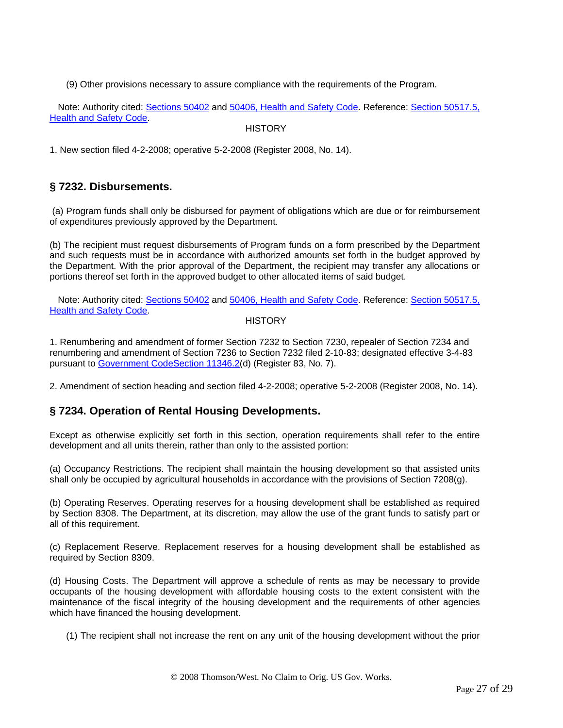<span id="page-26-0"></span>(9) Other provisions necessary to assure compliance with the requirements of the Program.

Note: Authority cited: Sections 50402 and 50406, Health and Safety Code. Reference: Section 50517.5, Health and Safety Code.

**HISTORY** 

1. New section filed 4-2-2008; operative 5-2-2008 (Register 2008, No. 14).

# **§ 7232. Disbursements.**

(a) Program funds shall only be disbursed for payment of obligations which are due or for reimbursement of expenditures previously approved by the Department.

(b) The recipient must request disbursements of Program funds on a form prescribed by the Department and such requests must be in accordance with authorized amounts set forth in the budget approved by the Department. With the prior approval of the Department, the recipient may transfer any allocations or portions thereof set forth in the approved budget to other allocated items of said budget.

Note: Authority cited: Sections 50402 and 50406, Health and Safety Code. Reference: Section 50517.5, Health and Safety Code.

### **HISTORY**

1. Renumbering and amendment of former Section 7232 to Section 7230, repealer of Section 7234 and renumbering and amendment of Section 7236 to Section 7232 filed 2-10-83; designated effective 3-4-83 pursuant to Government CodeSection 11346.2(d) (Register 83, No. 7).

2. Amendment of section heading and section filed 4-2-2008; operative 5-2-2008 (Register 2008, No. 14).

## **§ 7234. Operation of Rental Housing Developments.**

Except as otherwise explicitly set forth in this section, operation requirements shall refer to the entire development and all units therein, rather than only to the assisted portion:

(a) Occupancy Restrictions. The recipient shall maintain the housing development so that assisted units shall only be occupied by agricultural households in accordance with the provisions of Section 7208(g).

(b) Operating Reserves. Operating reserves for a housing development shall be established as required by Section 8308. The Department, at its discretion, may allow the use of the grant funds to satisfy part or all of this requirement.

(c) Replacement Reserve. Replacement reserves for a housing development shall be established as required by Section 8309.

(d) Housing Costs. The Department will approve a schedule of rents as may be necessary to provide occupants of the housing development with affordable housing costs to the extent consistent with the maintenance of the fiscal integrity of the housing development and the requirements of other agencies which have financed the housing development.

(1) The recipient shall not increase the rent on any unit of the housing development without the prior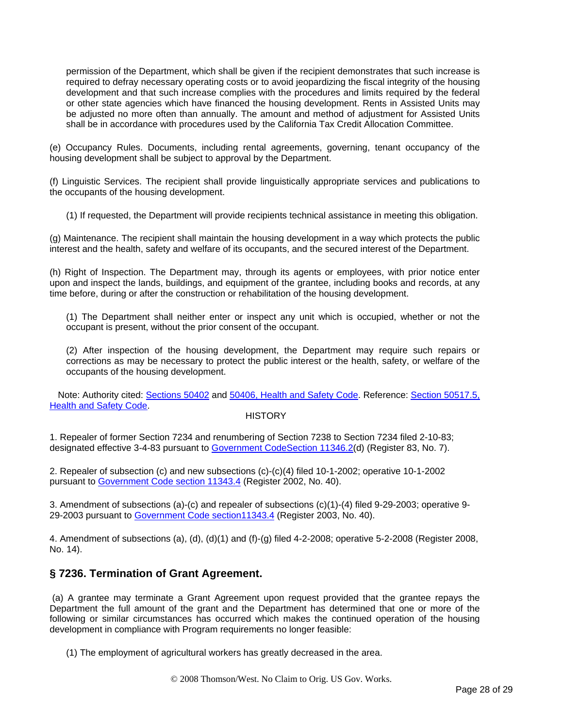<span id="page-27-0"></span>permission of the Department, which shall be given if the recipient demonstrates that such increase is required to defray necessary operating costs or to avoid jeopardizing the fiscal integrity of the housing development and that such increase complies with the procedures and limits required by the federal or other state agencies which have financed the housing development. Rents in Assisted Units may be adjusted no more often than annually. The amount and method of adjustment for Assisted Units shall be in accordance with procedures used by the California Tax Credit Allocation Committee.

(e) Occupancy Rules. Documents, including rental agreements, governing, tenant occupancy of the housing development shall be subject to approval by the Department.

(f) Linguistic Services. The recipient shall provide linguistically appropriate services and publications to the occupants of the housing development.

(1) If requested, the Department will provide recipients technical assistance in meeting this obligation.

(g) Maintenance. The recipient shall maintain the housing development in a way which protects the public interest and the health, safety and welfare of its occupants, and the secured interest of the Department.

(h) Right of Inspection. The Department may, through its agents or employees, with prior notice enter upon and inspect the lands, buildings, and equipment of the grantee, including books and records, at any time before, during or after the construction or rehabilitation of the housing development.

(1) The Department shall neither enter or inspect any unit which is occupied, whether or not the occupant is present, without the prior consent of the occupant.

(2) After inspection of the housing development, the Department may require such repairs or corrections as may be necessary to protect the public interest or the health, safety, or welfare of the occupants of the housing development.

Note: Authority cited: Sections 50402 and 50406, Health and Safety Code. Reference: Section 50517.5, Health and Safety Code.

### **HISTORY**

1. Repealer of former Section 7234 and renumbering of Section 7238 to Section 7234 filed 2-10-83; designated effective 3-4-83 pursuant to Government CodeSection 11346.2(d) (Register 83, No. 7).

2. Repealer of subsection (c) and new subsections (c)-(c)(4) filed 10-1-2002; operative 10-1-2002 pursuant to Government Code section 11343.4 (Register 2002, No. 40).

3. Amendment of subsections (a)-(c) and repealer of subsections (c)(1)-(4) filed 9-29-2003; operative 9- 29-2003 pursuant to Government Code section11343.4 (Register 2003, No. 40).

4. Amendment of subsections (a), (d), (d)(1) and (f)-(g) filed 4-2-2008; operative 5-2-2008 (Register 2008, No. 14).

## **§ 7236. Termination of Grant Agreement.**

(a) A grantee may terminate a Grant Agreement upon request provided that the grantee repays the Department the full amount of the grant and the Department has determined that one or more of the following or similar circumstances has occurred which makes the continued operation of the housing development in compliance with Program requirements no longer feasible:

(1) The employment of agricultural workers has greatly decreased in the area.